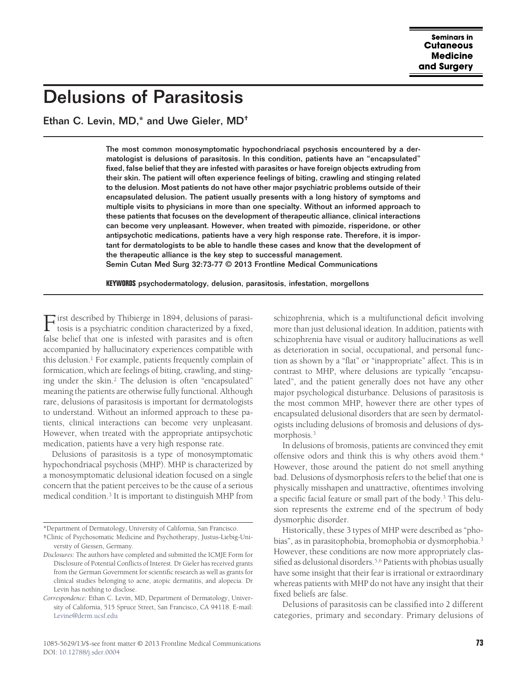# Delusions of Parasitosis

Ethan C. Levin, MD,\* and Uwe Gieler, MD†

The most common monosymptomatic hypochondriacal psychosis encountered by a dermatologist is delusions of parasitosis. In this condition, patients have an "encapsulated" fixed, false belief that they are infested with parasites or have foreign objects extruding from their skin. The patient will often experience feelings of biting, crawling and stinging related to the delusion. Most patients do not have other major psychiatric problems outside of their encapsulated delusion. The patient usually presents with a long history of symptoms and multiple visits to physicians in more than one specialty. Without an informed approach to these patients that focuses on the development of therapeutic alliance, clinical interactions can become very unpleasant. However, when treated with pimozide, risperidone, or other antipsychotic medications, patients have a very high response rate. Therefore, it is important for dermatologists to be able to handle these cases and know that the development of the therapeutic alliance is the key step to successful management. Semin Cutan Med Surg 32:73-77 © 2013 Frontline Medical Communications

**KEYWORDS** psychodermatology, delusion, parasitosis, infestation, morgellons

First described by Thibierge in 1894, delusions of parasi-tosis is a psychiatric condition characterized by a fixed, false belief that one is infested with parasites and is often accompanied by hallucinatory experiences compatible with this delusion. $<sup>1</sup>$  For example, patients frequently complain of</sup> formication, which are feelings of biting, crawling, and stinging under the skin.<sup>2</sup> The delusion is often "encapsulated" meaning the patients are otherwise fully functional. Although rare, delusions of parasitosis is important for dermatologists to understand. Without an informed approach to these patients, clinical interactions can become very unpleasant. However, when treated with the appropriate antipsychotic medication, patients have a very high response rate.

Delusions of parasitosis is a type of monosymptomatic hypochondriacal psychosis (MHP). MHP is characterized by a monosymptomatic delusional ideation focused on a single concern that the patient perceives to be the cause of a serious medical condition[.3](#page-4-2) It is important to distinguish MHP from schizophrenia, which is a multifunctional deficit involving more than just delusional ideation. In addition, patients with schizophrenia have visual or auditory hallucinations as well as deterioration in social, occupational, and personal function as shown by a "flat" or "inappropriate" affect. This is in contrast to MHP, where delusions are typically "encapsulated", and the patient generally does not have any other major psychological disturbance. Delusions of parasitosis is the most common MHP, however there are other types of encapsulated delusional disorders that are seen by dermatologists including delusions of bromosis and delusions of dysmorphosis[.3](#page-4-2)

In delusions of bromosis, patients are convinced they emit offensive odors and think this is why others avoid them.<sup>4</sup> However, those around the patient do not smell anything bad. Delusions of dysmorphosis refers to the belief that one is physically misshapen and unattractive, oftentimes involving a specific facial feature or small part of the body.<sup>3</sup> This delusion represents the extreme end of the spectrum of body dysmorphic disorder.

Historically, these 3 types of MHP were described as "phobias", as in parasitophobia, bromophobia or dysmorphobia[.3](#page-4-2) However, these conditions are now more appropriately classified as delusional disorders.<sup>5,6</sup> Patients with phobias usually have some insight that their fear is irrational or extraordinary whereas patients with MHP do not have any insight that their fixed beliefs are false.

Delusions of parasitosis can be classified into 2 different categories, primary and secondary. Primary delusions of

<sup>\*</sup>Department of Dermatology, University of California, San Francisco.

<sup>†</sup>Clinic of Psychosomatic Medicine and Psychotherapy, Justus-Liebig-University of Giessen, Germany.

*Disclosures*: The authors have completed and submitted the ICMJE Form for Disclosure of Potential Conflicts of Interest. Dr Gieler has received grants from the German Government for scientific research as well as grants for clinical studies belonging to acne, atopic dermatitis, and alopecia. Dr Levin has nothing to disclose.

*Correspondence:* Ethan C. Levin, MD, Department of Dermatology, University of California, 515 Spruce Street, San Francisco, CA 94118. E-mail: [Levine@derm.ucsf.edu](mailto:Levine@derm.ucsf.edu)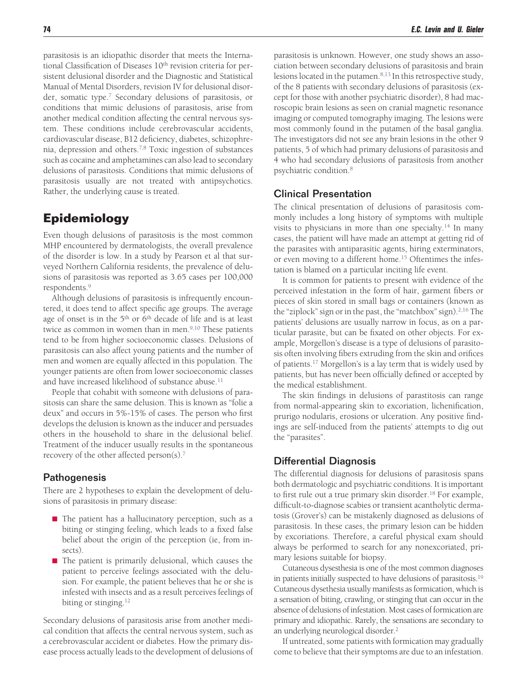parasitosis is an idiopathic disorder that meets the International Classification of Diseases  $10<sup>th</sup>$  revision criteria for persistent delusional disorder and the Diagnostic and Statistical Manual of Mental Disorders, revision IV for delusional disorder, somatic type[.7](#page-4-5) Secondary delusions of parasitosis, or conditions that mimic delusions of parasitosis, arise from another medical condition affecting the central nervous system. These conditions include cerebrovascular accidents, cardiovascular disease, B12 deficiency, diabetes, schizophrenia, depression and others[.7,8](#page-4-5) Toxic ingestion of substances such as cocaine and amphetamines can also lead to secondary delusions of parasitosis. Conditions that mimic delusions of parasitosis usually are not treated with antipsychotics. Rather, the underlying cause is treated.

## **Epidemiology**

Even though delusions of parasitosis is the most common MHP encountered by dermatologists, the overall prevalence of the disorder is low. In a study by Pearson et al that surveyed Northern California residents, the prevalence of delusions of parasitosis was reported as 3.65 cases per 100,000 respondents[.9](#page-4-6)

Although delusions of parasitosis is infrequently encountered, it does tend to affect specific age groups. The average age of onset is in the 5<sup>th</sup> or 6<sup>th</sup> decade of life and is at least twice as common in women than in men[.9,10](#page-4-6) These patients tend to be from higher socioeconomic classes. Delusions of parasitosis can also affect young patients and the number of men and women are equally affected in this population. The younger patients are often from lower socioeconomic classes and have increased likelihood of substance abuse.<sup>11</sup>

People that cohabit with someone with delusions of parasitosis can share the same delusion. This is known as "folie a deux" and occurs in 5%-15% of cases. The person who first develops the delusion is known as the inducer and persuades others in the household to share in the delusional belief. Treatment of the inducer usually results in the spontaneous recovery of the other affected person(s)[.7](#page-4-5)

## **Pathogenesis**

There are 2 hypotheses to explain the development of delusions of parasitosis in primary disease:

- $\blacksquare$  The patient has a hallucinatory perception, such as a biting or stinging feeling, which leads to a fixed false belief about the origin of the perception (ie, from insects).
- $\blacksquare$  The patient is primarily delusional, which causes the patient to perceive feelings associated with the delusion. For example, the patient believes that he or she is infested with insects and as a result perceives feelings of biting or stinging.<sup>12</sup>

Secondary delusions of parasitosis arise from another medical condition that affects the central nervous system, such as a cerebrovascular accident or diabetes. How the primary disease process actually leads to the development of delusions of parasitosis is unknown. However, one study shows an association between secondary delusions of parasitosis and brain lesions located in the putamen.<sup>8,13</sup> In this retrospective study, of the 8 patients with secondary delusions of parasitosis (except for those with another psychiatric disorder), 8 had macroscopic brain lesions as seen on cranial magnetic resonance imaging or computed tomography imaging. The lesions were most commonly found in the putamen of the basal ganglia. The investigators did not see any brain lesions in the other 9 patients, 5 of which had primary delusions of parasitosis and 4 who had secondary delusions of parasitosis from another psychiatric condition[.8](#page-4-9)

## Clinical Presentation

The clinical presentation of delusions of parasitosis commonly includes a long history of symptoms with multiple visits to physicians in more than one specialty.<sup>14</sup> In many cases, the patient will have made an attempt at getting rid of the parasites with antiparasitic agents, hiring exterminators, or even moving to a different home.<sup>15</sup> Oftentimes the infestation is blamed on a particular inciting life event.

It is common for patients to present with evidence of the perceived infestation in the form of hair, garment fibers or pieces of skin stored in small bags or containers (known as the "ziplock" sign or in the past, the "matchbox" sign). $2,16$  The patients' delusions are usually narrow in focus, as on a particular parasite, but can be fixated on other objects. For example, Morgellon's disease is a type of delusions of parasitosis often involving fibers extruding from the skin and orifices of patients[.17](#page-4-12) Morgellon's is a lay term that is widely used by patients, but has never been officially defined or accepted by the medical establishment.

The skin findings in delusions of parastitosis can range from normal-appearing skin to excoriation, lichenification, prurigo nodularis, erosions or ulceration. Any positive findings are self-induced from the patients' attempts to dig out the "parasites".

## Differential Diagnosis

The differential diagnosis for delusions of parasitosis spans both dermatologic and psychiatric conditions. It is important to first rule out a true primary skin disorder.<sup>18</sup> For example, difficult-to-diagnose scabies or transient acantholytic dermatosis (Grover's) can be mistakenly diagnosed as delusions of parasitosis. In these cases, the primary lesion can be hidden by excoriations. Therefore, a careful physical exam should always be performed to search for any nonexcoriated, primary lesions suitable for biopsy.

Cutaneous dysesthesia is one of the most common diagnoses in patients initially suspected to have delusions of parasitosis.<sup>19</sup> Cutaneous dysethesia usually manifests as formication, which is a sensation of biting, crawling, or stinging that can occur in the absence of delusions of infestation. Most cases of formication are primary and idiopathic. Rarely, the sensations are secondary to an underlying neurological disorder[.2](#page-4-1)

If untreated, some patients with formication may gradually come to believe that their symptoms are due to an infestation.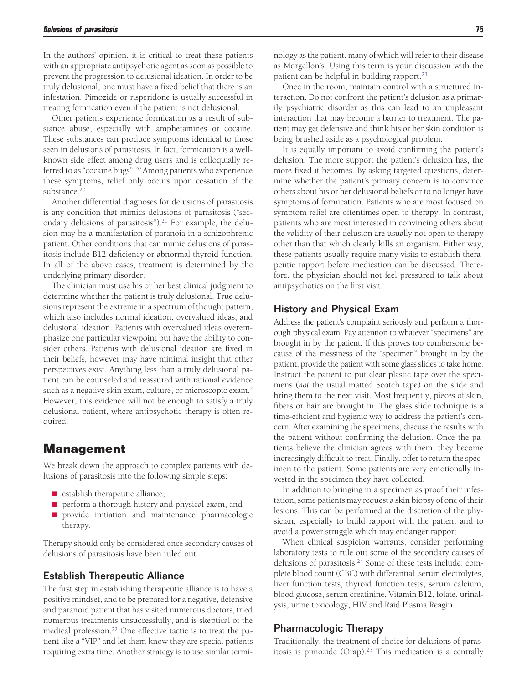In the authors' opinion, it is critical to treat these patients with an appropriate antipsychotic agent as soon as possible to prevent the progression to delusional ideation. In order to be truly delusional, one must have a fixed belief that there is an infestation. Pimozide or risperidone is usually successful in treating formication even if the patient is not delusional.

Other patients experience formication as a result of substance abuse, especially with amphetamines or cocaine. These substances can produce symptoms identical to those seen in delusions of parasitosis. In fact, formication is a wellknown side effect among drug users and is colloquially referred to as "cocaine bugs"[.20](#page-4-15) Among patients who experience these symptoms, relief only occurs upon cessation of the substance.<sup>20</sup>

Another differential diagnoses for delusions of parasitosis is any condition that mimics delusions of parasitosis ("secondary delusions of parasitosis").<sup>21</sup> For example, the delusion may be a manifestation of paranoia in a schizophrenic patient. Other conditions that can mimic delusions of parasitosis include B12 deficiency or abnormal thyroid function. In all of the above cases, treatment is determined by the underlying primary disorder.

The clinician must use his or her best clinical judgment to determine whether the patient is truly delusional. True delusions represent the extreme in a spectrum of thought pattern, which also includes normal ideation, overvalued ideas, and delusional ideation. Patients with overvalued ideas overemphasize one particular viewpoint but have the ability to consider others. Patients with delusional ideation are fixed in their beliefs, however may have minimal insight that other perspectives exist. Anything less than a truly delusional patient can be counseled and reassured with rational evidence such as a negative skin exam, culture, or microscopic exam.<sup>2</sup> However, this evidence will not be enough to satisfy a truly delusional patient, where antipsychotic therapy is often required.

## **Management**

We break down the approach to complex patients with delusions of parasitosis into the following simple steps:

- $\blacksquare$  establish therapeutic alliance,
- perform a thorough history and physical exam, and
- **provide** initiation and maintenance pharmacologic therapy.

Therapy should only be considered once secondary causes of delusions of parasitosis have been ruled out.

## Establish Therapeutic Alliance

The first step in establishing therapeutic alliance is to have a positive mindset, and to be prepared for a negative, defensive and paranoid patient that has visited numerous doctors, tried numerous treatments unsuccessfully, and is skeptical of the medical profession[.22](#page-4-17) One effective tactic is to treat the patient like a "VIP" and let them know they are special patients requiring extra time. Another strategy is to use similar terminology as the patient, many of which will refer to their disease as Morgellon's. Using this term is your discussion with the patient can be helpful in building rapport.<sup>23</sup>

Once in the room, maintain control with a structured interaction. Do not confront the patient's delusion as a primarily psychiatric disorder as this can lead to an unpleasant interaction that may become a barrier to treatment. The patient may get defensive and think his or her skin condition is being brushed aside as a psychological problem.

It is equally important to avoid confirming the patient's delusion. The more support the patient's delusion has, the more fixed it becomes. By asking targeted questions, determine whether the patient's primary concern is to convince others about his or her delusional beliefs or to no longer have symptoms of formication. Patients who are most focused on symptom relief are oftentimes open to therapy. In contrast, patients who are most interested in convincing others about the validity of their delusion are usually not open to therapy other than that which clearly kills an organism. Either way, these patients usually require many visits to establish therapeutic rapport before medication can be discussed. Therefore, the physician should not feel pressured to talk about antipsychotics on the first visit.

## History and Physical Exam

Address the patient's complaint seriously and perform a thorough physical exam. Pay attention to whatever "specimens" are brought in by the patient. If this proves too cumbersome because of the messiness of the "specimen" brought in by the patient, provide the patient with some glass slides to take home. Instruct the patient to put clear plastic tape over the specimens (*not* the usual matted Scotch tape) on the slide and bring them to the next visit. Most frequently, pieces of skin, fibers or hair are brought in. The glass slide technique is a time-efficient and hygienic way to address the patient's concern. After examining the specimens, discuss the results with the patient without confirming the delusion. Once the patients believe the clinician agrees with them, they become increasingly difficult to treat. Finally, offer to return the specimen to the patient. Some patients are very emotionally invested in the specimen they have collected.

In addition to bringing in a specimen as proof their infestation, some patients may request a skin biopsy of one of their lesions. This can be performed at the discretion of the physician, especially to build rapport with the patient and to avoid a power struggle which may endanger rapport.

When clinical suspicion warrants, consider performing laboratory tests to rule out some of the secondary causes of delusions of parasitosis[.24](#page-4-19) Some of these tests include: complete blood count (CBC) with differential, serum electrolytes, liver function tests, thyroid function tests, serum calcium, blood glucose, serum creatinine, Vitamin B12, folate, urinalysis, urine toxicology, HIV and Raid Plasma Reagin.

## Pharmacologic Therapy

Traditionally, the treatment of choice for delusions of parasitosis is pimozide (Orap).<sup>25</sup> This medication is a centrally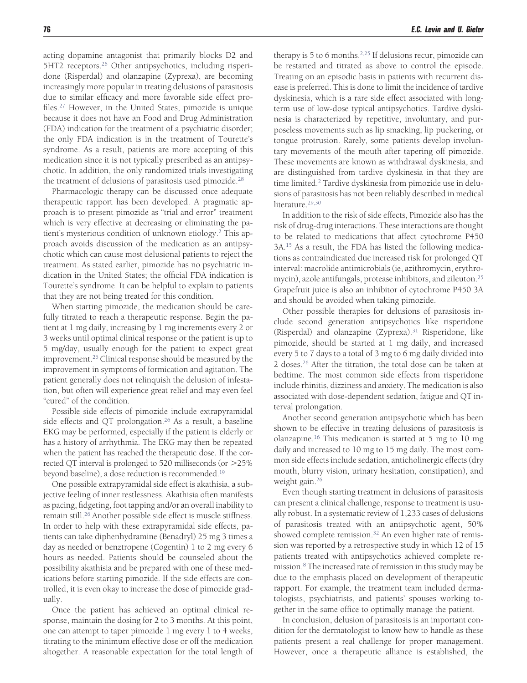acting dopamine antagonist that primarily blocks D2 and 5HT2 receptors.<sup>26</sup> Other antipsychotics, including risperidone (Risperdal) and olanzapine (Zyprexa), are becoming increasingly more popular in treating delusions of parasitosis due to similar efficacy and more favorable side effect profiles[.27](#page-4-22) However, in the United States, pimozide is unique because it does not have an Food and Drug Administration (FDA) indication for the treatment of a psychiatric disorder; the only FDA indication is in the treatment of Tourette's syndrome. As a result, patients are more accepting of this medication since it is not typically prescribed as an antipsychotic. In addition, the only randomized trials investigating the treatment of delusions of parasitosis used pimozide[.28](#page-4-23)

Pharmacologic therapy can be discussed once adequate therapeutic rapport has been developed. A pragmatic approach is to present pimozide as "trial and error" treatment which is very effective at decreasing or eliminating the patient's mysterious condition of unknown etiology[.2](#page-4-1) This approach avoids discussion of the medication as an antipsychotic which can cause most delusional patients to reject the treatment. As stated earlier, pimozide has no psychiatric indication in the United States; the official FDA indication is Tourette's syndrome. It can be helpful to explain to patients that they are not being treated for this condition.

When starting pimozide, the medication should be carefully titrated to reach a therapeutic response. Begin the patient at 1 mg daily, increasing by 1 mg increments every 2 or 3 weeks until optimal clinical response or the patient is up to 5 mg/day, usually enough for the patient to expect great improvement[.26](#page-4-21) Clinical response should be measured by the improvement in symptoms of formication and agitation. The patient generally does not relinquish the delusion of infestation, but often will experience great relief and may even feel "cured" of the condition.

Possible side effects of pimozide include extrapyramidal side effects and QT prolongation.<sup>26</sup> As a result, a baseline EKG may be performed, especially if the patient is elderly or has a history of arrhythmia. The EKG may then be repeated when the patient has reached the therapeutic dose. If the corrected QT interval is prolonged to 520 milliseconds (or 25% beyond baseline), a dose reduction is recommended[.19](#page-4-14)

One possible extrapyramidal side effect is akathisia, a subjective feeling of inner restlessness. Akathisia often manifests as pacing, fidgeting, foot tapping and/or an overall inability to remain still[.26](#page-4-21) Another possible side effect is muscle stiffness. In order to help with these extrapyramidal side effects, patients can take diphenhydramine (Benadryl) 25 mg 3 times a day as needed or benztropene (Cogentin) 1 to 2 mg every 6 hours as needed. Patients should be counseled about the possibility akathisia and be prepared with one of these medications before starting pimozide. If the side effects are controlled, it is even okay to increase the dose of pimozide gradually.

Once the patient has achieved an optimal clinical response, maintain the dosing for 2 to 3 months. At this point, one can attempt to taper pimozide 1 mg every 1 to 4 weeks, titrating to the minimum effective dose or off the medication altogether. A reasonable expectation for the total length of therapy is 5 to 6 months.<sup>2,25</sup> If delusions recur, pimozide can be restarted and titrated as above to control the episode. Treating on an episodic basis in patients with recurrent disease is preferred. This is done to limit the incidence of tardive dyskinesia, which is a rare side effect associated with longterm use of low-dose typical antipsychotics. Tardive dyskinesia is characterized by repetitive, involuntary, and purposeless movements such as lip smacking, lip puckering, or tongue protrusion. Rarely, some patients develop involuntary movements of the mouth after tapering off pimozide. These movements are known as withdrawal dyskinesia, and are distinguished from tardive dyskinesia in that they are time limited.<sup>2</sup> Tardive dyskinesia from pimozide use in delusions of parasitosis has not been reliably described in medical literature.<sup>29,30</sup>

In addition to the risk of side effects, Pimozide also has the risk of drug-drug interactions. These interactions are thought to be related to medications that affect cytochrome P450 3A[.15](#page-4-11) As a result, the FDA has listed the following medications as contraindicated due increased risk for prolonged QT interval: macrolide antimicrobials (ie, azithromycin, erythromycin), azole antifungals, protease inhibitors, and zileuton[.25](#page-4-20) Grapefruit juice is also an inhibitor of cytochrome P450 3A and should be avoided when taking pimozide.

Other possible therapies for delusions of parasitosis include second generation antipsychotics like risperidone (Risperdal) and olanzapine (Zyprexa)[.31](#page-4-25) Risperidone, like pimozide, should be started at 1 mg daily, and increased every 5 to 7 days to a total of 3 mg to 6 mg daily divided into 2 doses[.26](#page-4-21) After the titration, the total dose can be taken at bedtime. The most common side effects from risperidone include rhinitis, dizziness and anxiety. The medication is also associated with dose-dependent sedation, fatigue and QT interval prolongation.

Another second generation antipsychotic which has been shown to be effective in treating delusions of parasitosis is olanzapine[.16](#page-4-26) This medication is started at 5 mg to 10 mg daily and increased to 10 mg to 15 mg daily. The most common side effects include sedation, anticholinergic effects (dry mouth, blurry vision, urinary hesitation, constipation), and weight gain[.26](#page-4-21)

Even though starting treatment in delusions of parasitosis can present a clinical challenge, response to treatment is usually robust. In a systematic review of 1,233 cases of delusions of parasitosis treated with an antipsychotic agent, 50% showed complete remission.<sup>32</sup> An even higher rate of remission was reported by a retrospective study in which 12 of 15 patients treated with antipsychotics achieved complete remission[.8](#page-4-9) The increased rate of remission in this study may be due to the emphasis placed on development of therapeutic rapport. For example, the treatment team included dermatologists, psychiatrists, and patients' spouses working together in the same office to optimally manage the patient.

In conclusion, delusion of parasitosis is an important condition for the dermatologist to know how to handle as these patients present a real challenge for proper management. However, once a therapeutic alliance is established, the